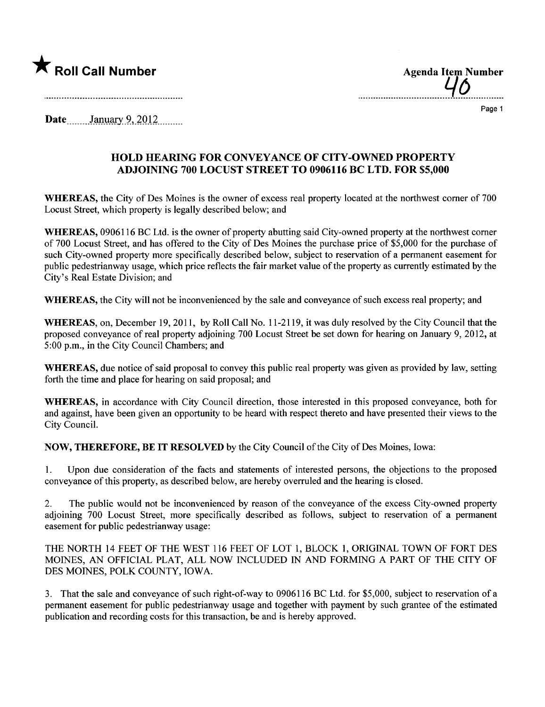

..................................4.9..............

Page 1

Date January 9,  $2012$ 

## HOLD HEARING FOR CONVEYANCE OF CITY-OWNED PROPERTY ADJOINING 700 LOCUST STREET TO 0906116 BC LTD. FOR \$5,000

WHEREAS, the City of Des Moines is the owner of excess real property located at the northwest corner of 700 Locust Street, which property is legally described below; and

WHEREAS, 0906116 BC Ltd. is the owner of property abutting said City-owned property at the northwest corner of 700 Locust Street, and has offered to the City of Des Moines the purchase price of \$5,000 for the purchase of such City-owned property more specifically described below, subject to reservation of a permanent easement for public pedestrianway usage, which price reflects the fair market value of the property as currently estimated by the City's Real Estate Division; and

WHEREAS, the City will not be inconvenienced by the sale and conveyance of such excess real property; and

WHEREAS, on, December 19, 2011, by Roll Call No. 11-2119, it was duly resolved by the City Council that the proposed conveyance of real property adjoining 700 Locust Street be set down for hearing on January 9, 2012, at 5:00 p.m., in the City Council Chambers; and

WHEREAS, due notice of said proposal to convey this public real property was given as provided by law, setting forth the time and place for hearing on said proposal; and

WHEREAS, in accordance with City Council direction, those interested in this proposed conveyance, both for and against, have been given an opportunity to be heard with respect thereto and have presented their views to the City CounciL.

NOW, THEREFORE, BE IT RESOLVED by the City Council of the City of Des Moines, Iowa:

1. Upon due consideration of the facts and statements of interested persons, the objections to the proposed conveyance of this property, as described below, are hereby overruled and the hearing is closed.

2. The public would not be inconvenienced by reason of the conveyance of the excess City-owned propert adjoining 700 Locust Street, more specifically described as follows, subject to reservation of a permanent easement for public pedestrianway usage:

THE NORTH 14 FEET OF THE WEST 116 FEET OF LOT 1, BLOCK 1, ORIGINAL TOWN OF FORT DES MOINES, AN OFFICIAL PLAT, ALL NOW INCLUDED IN AND FORMING A PART OF THE CITY OF DES MOINES, POLK COUNTY, IOWA.

3. That the sale and conveyance of such right-of-way to 0906116 BC Ltd. for \$5,000, subject to reservation of a permanent easement for public pedestrianway usage and together with payment by such grantee of the estimated publication and recording costs for this transaction, be and is hereby approved.